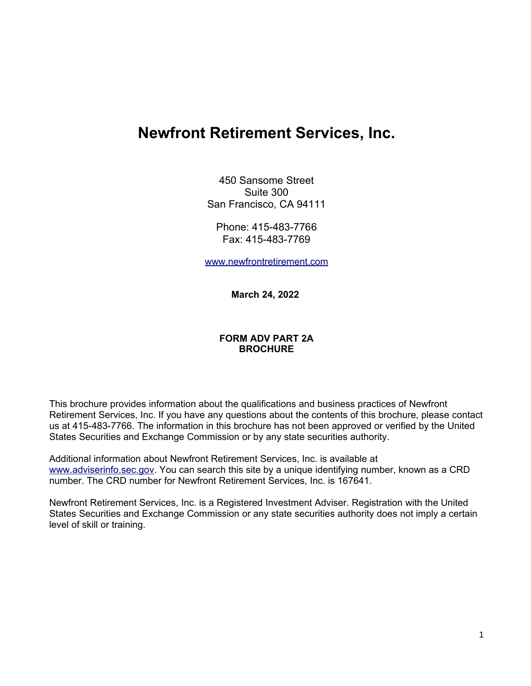# **Newfront Retirement Services, Inc.**

450 Sansome Street Suite 300 San Francisco, CA 94111

Phone: 415-483-7766 Fax: 415-483-7769

[www.newfrontretirement.com](http://www.newfrontretirement.com/)

**March 24, 2022**

#### **FORM ADV PART 2A BROCHURE**

This brochure provides information about the qualifications and business practices of Newfront Retirement Services, Inc. If you have any questions about the contents of this brochure, please contact us at 415-483-7766. The information in this brochure has not been approved or verified by the United States Securities and Exchange Commission or by any state securities authority.

Additional information about Newfront Retirement Services, Inc. is available at [www.adviserinfo.sec.gov.](http://www.adviserinfo.sec.gov/) You can search this site by a unique identifying number, known as a CRD number. The CRD number for Newfront Retirement Services, Inc. is 167641.

Newfront Retirement Services, Inc. is a Registered Investment Adviser. Registration with the United States Securities and Exchange Commission or any state securities authority does not imply a certain level of skill or training.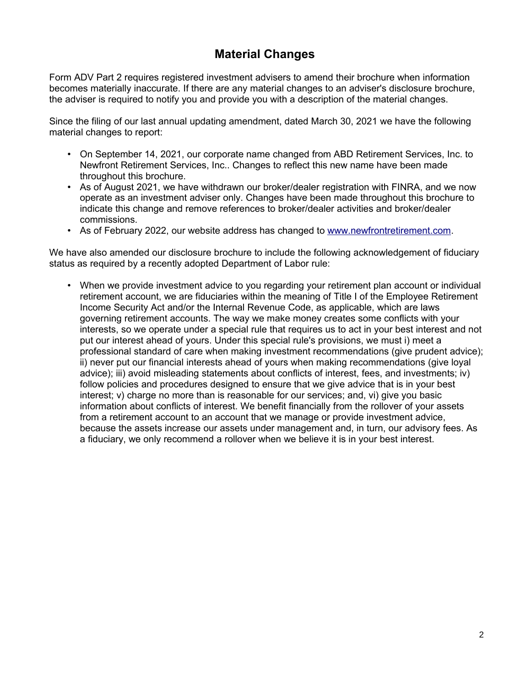# **Material Changes**

Form ADV Part 2 requires registered investment advisers to amend their brochure when information becomes materially inaccurate. If there are any material changes to an adviser's disclosure brochure, the adviser is required to notify you and provide you with a description of the material changes.

Since the filing of our last annual updating amendment, dated March 30, 2021 we have the following material changes to report:

- On September 14, 2021, our corporate name changed from ABD Retirement Services, Inc. to Newfront Retirement Services, Inc.. Changes to reflect this new name have been made throughout this brochure.
- As of August 2021, we have withdrawn our broker/dealer registration with FINRA, and we now operate as an investment adviser only. Changes have been made throughout this brochure to indicate this change and remove references to broker/dealer activities and broker/dealer commissions.
- As of February 2022, our website address has changed to [www.newfrontretirement.com.](http://www.newfrontretirement.com/)

We have also amended our disclosure brochure to include the following acknowledgement of fiduciary status as required by a recently adopted Department of Labor rule:

• When we provide investment advice to you regarding your retirement plan account or individual retirement account, we are fiduciaries within the meaning of Title I of the Employee Retirement Income Security Act and/or the Internal Revenue Code, as applicable, which are laws governing retirement accounts. The way we make money creates some conflicts with your interests, so we operate under a special rule that requires us to act in your best interest and not put our interest ahead of yours. Under this special rule's provisions, we must i) meet a professional standard of care when making investment recommendations (give prudent advice); ii) never put our financial interests ahead of yours when making recommendations (give loyal advice); iii) avoid misleading statements about conflicts of interest, fees, and investments; iv) follow policies and procedures designed to ensure that we give advice that is in your best interest; v) charge no more than is reasonable for our services; and, vi) give you basic information about conflicts of interest. We benefit financially from the rollover of your assets from a retirement account to an account that we manage or provide investment advice, because the assets increase our assets under management and, in turn, our advisory fees. As a fiduciary, we only recommend a rollover when we believe it is in your best interest.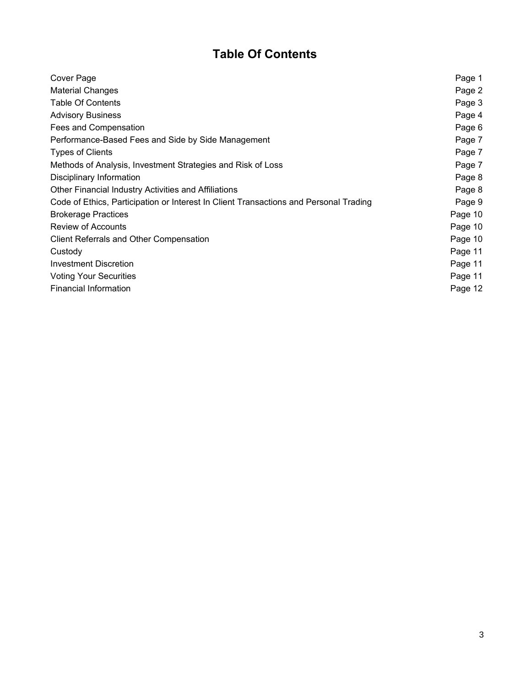# **Table Of Contents**

| Cover Page                                                                            | Page 1  |
|---------------------------------------------------------------------------------------|---------|
| <b>Material Changes</b>                                                               | Page 2  |
| <b>Table Of Contents</b>                                                              | Page 3  |
| <b>Advisory Business</b>                                                              | Page 4  |
| Fees and Compensation                                                                 | Page 6  |
| Performance-Based Fees and Side by Side Management                                    | Page 7  |
| <b>Types of Clients</b>                                                               | Page 7  |
| Methods of Analysis, Investment Strategies and Risk of Loss                           | Page 7  |
| Disciplinary Information                                                              | Page 8  |
| Other Financial Industry Activities and Affiliations                                  | Page 8  |
| Code of Ethics, Participation or Interest In Client Transactions and Personal Trading | Page 9  |
| <b>Brokerage Practices</b>                                                            | Page 10 |
| Review of Accounts                                                                    | Page 10 |
| Client Referrals and Other Compensation                                               | Page 10 |
| Custody                                                                               | Page 11 |
| <b>Investment Discretion</b>                                                          | Page 11 |
| <b>Voting Your Securities</b>                                                         | Page 11 |
| <b>Financial Information</b>                                                          | Page 12 |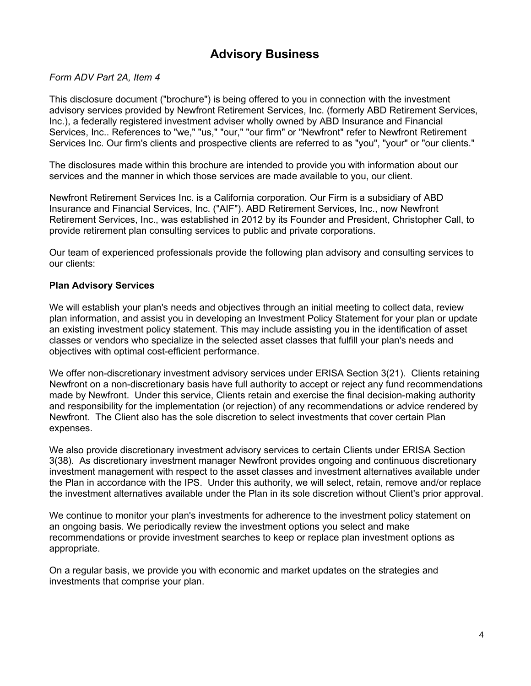# **Advisory Business**

#### *Form ADV Part 2A, Item 4*

This disclosure document ("brochure") is being offered to you in connection with the investment advisory services provided by Newfront Retirement Services, Inc. (formerly ABD Retirement Services, Inc.), a federally registered investment adviser wholly owned by ABD Insurance and Financial Services, Inc.. References to "we," "us," "our," "our firm" or "Newfront" refer to Newfront Retirement Services Inc. Our firm's clients and prospective clients are referred to as "you", "your" or "our clients."

The disclosures made within this brochure are intended to provide you with information about our services and the manner in which those services are made available to you, our client.

Newfront Retirement Services Inc. is a California corporation. Our Firm is a subsidiary of ABD Insurance and Financial Services, Inc. ("AIF"). ABD Retirement Services, Inc., now Newfront Retirement Services, Inc., was established in 2012 by its Founder and President, Christopher Call, to provide retirement plan consulting services to public and private corporations.

Our team of experienced professionals provide the following plan advisory and consulting services to our clients:

#### **Plan Advisory Services**

We will establish your plan's needs and objectives through an initial meeting to collect data, review plan information, and assist you in developing an Investment Policy Statement for your plan or update an existing investment policy statement. This may include assisting you in the identification of asset classes or vendors who specialize in the selected asset classes that fulfill your plan's needs and objectives with optimal cost-efficient performance.

We offer non-discretionary investment advisory services under ERISA Section 3(21). Clients retaining Newfront on a non-discretionary basis have full authority to accept or reject any fund recommendations made by Newfront. Under this service, Clients retain and exercise the final decision-making authority and responsibility for the implementation (or rejection) of any recommendations or advice rendered by Newfront. The Client also has the sole discretion to select investments that cover certain Plan expenses.

We also provide discretionary investment advisory services to certain Clients under ERISA Section 3(38). As discretionary investment manager Newfront provides ongoing and continuous discretionary investment management with respect to the asset classes and investment alternatives available under the Plan in accordance with the IPS. Under this authority, we will select, retain, remove and/or replace the investment alternatives available under the Plan in its sole discretion without Client's prior approval.

We continue to monitor your plan's investments for adherence to the investment policy statement on an ongoing basis. We periodically review the investment options you select and make recommendations or provide investment searches to keep or replace plan investment options as appropriate.

On a regular basis, we provide you with economic and market updates on the strategies and investments that comprise your plan.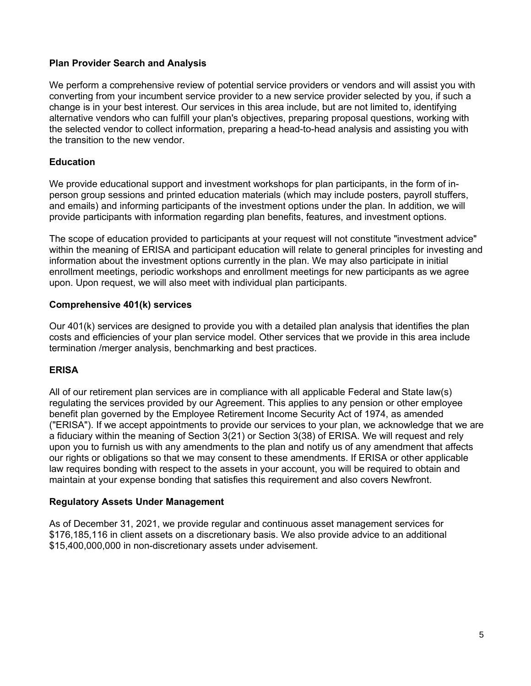#### **Plan Provider Search and Analysis**

We perform a comprehensive review of potential service providers or vendors and will assist you with converting from your incumbent service provider to a new service provider selected by you, if such a change is in your best interest. Our services in this area include, but are not limited to, identifying alternative vendors who can fulfill your plan's objectives, preparing proposal questions, working with the selected vendor to collect information, preparing a head-to-head analysis and assisting you with the transition to the new vendor.

#### **Education**

We provide educational support and investment workshops for plan participants, in the form of inperson group sessions and printed education materials (which may include posters, payroll stuffers, and emails) and informing participants of the investment options under the plan. In addition, we will provide participants with information regarding plan benefits, features, and investment options.

The scope of education provided to participants at your request will not constitute "investment advice" within the meaning of ERISA and participant education will relate to general principles for investing and information about the investment options currently in the plan. We may also participate in initial enrollment meetings, periodic workshops and enrollment meetings for new participants as we agree upon. Upon request, we will also meet with individual plan participants.

#### **Comprehensive 401(k) services**

Our 401(k) services are designed to provide you with a detailed plan analysis that identifies the plan costs and efficiencies of your plan service model. Other services that we provide in this area include termination /merger analysis, benchmarking and best practices.

#### **ERISA**

All of our retirement plan services are in compliance with all applicable Federal and State law(s) regulating the services provided by our Agreement. This applies to any pension or other employee benefit plan governed by the Employee Retirement Income Security Act of 1974, as amended ("ERISA"). If we accept appointments to provide our services to your plan, we acknowledge that we are a fiduciary within the meaning of Section 3(21) or Section 3(38) of ERISA. We will request and rely upon you to furnish us with any amendments to the plan and notify us of any amendment that affects our rights or obligations so that we may consent to these amendments. If ERISA or other applicable law requires bonding with respect to the assets in your account, you will be required to obtain and maintain at your expense bonding that satisfies this requirement and also covers Newfront.

#### **Regulatory Assets Under Management**

As of December 31, 2021, we provide regular and continuous asset management services for \$176,185,116 in client assets on a discretionary basis. We also provide advice to an additional \$15,400,000,000 in non-discretionary assets under advisement.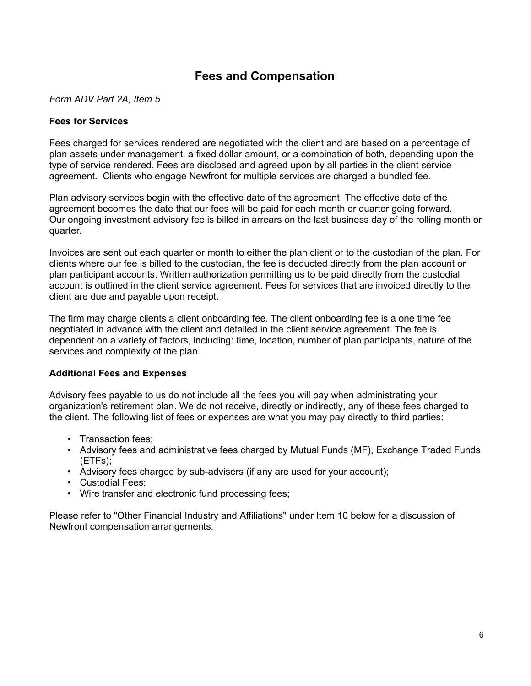### **Fees and Compensation**

*Form ADV Part 2A, Item 5*

#### **Fees for Services**

Fees charged for services rendered are negotiated with the client and are based on a percentage of plan assets under management, a fixed dollar amount, or a combination of both, depending upon the type of service rendered. Fees are disclosed and agreed upon by all parties in the client service agreement. Clients who engage Newfront for multiple services are charged a bundled fee.

Plan advisory services begin with the effective date of the agreement. The effective date of the agreement becomes the date that our fees will be paid for each month or quarter going forward. Our ongoing investment advisory fee is billed in arrears on the last business day of the rolling month or quarter.

Invoices are sent out each quarter or month to either the plan client or to the custodian of the plan. For clients where our fee is billed to the custodian, the fee is deducted directly from the plan account or plan participant accounts. Written authorization permitting us to be paid directly from the custodial account is outlined in the client service agreement. Fees for services that are invoiced directly to the client are due and payable upon receipt.

The firm may charge clients a client onboarding fee. The client onboarding fee is a one time fee negotiated in advance with the client and detailed in the client service agreement. The fee is dependent on a variety of factors, including: time, location, number of plan participants, nature of the services and complexity of the plan.

#### **Additional Fees and Expenses**

Advisory fees payable to us do not include all the fees you will pay when administrating your organization's retirement plan. We do not receive, directly or indirectly, any of these fees charged to the client. The following list of fees or expenses are what you may pay directly to third parties:

- Transaction fees;
- Advisory fees and administrative fees charged by Mutual Funds (MF), Exchange Traded Funds (ETFs);
- Advisory fees charged by sub-advisers (if any are used for your account);
- Custodial Fees;
- Wire transfer and electronic fund processing fees;

Please refer to "Other Financial Industry and Affiliations" under Item 10 below for a discussion of Newfront compensation arrangements.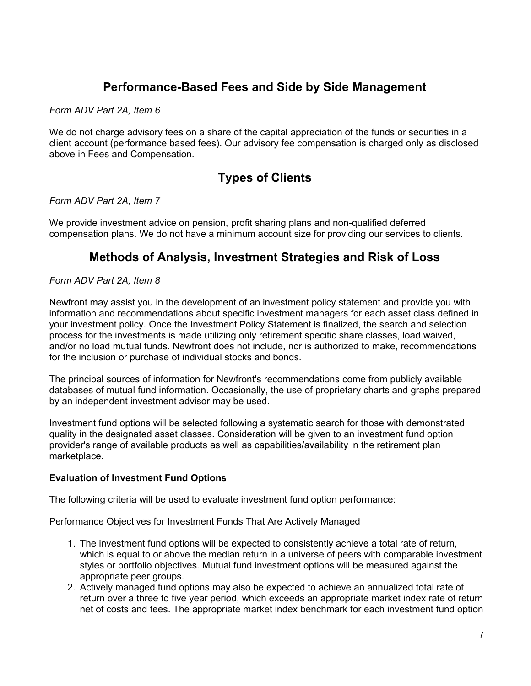### **Performance-Based Fees and Side by Side Management**

*Form ADV Part 2A, Item 6*

We do not charge advisory fees on a share of the capital appreciation of the funds or securities in a client account (performance based fees). Our advisory fee compensation is charged only as disclosed above in Fees and Compensation.

# **Types of Clients**

*Form ADV Part 2A, Item 7*

We provide investment advice on pension, profit sharing plans and non-qualified deferred compensation plans. We do not have a minimum account size for providing our services to clients.

### **Methods of Analysis, Investment Strategies and Risk of Loss**

*Form ADV Part 2A, Item 8*

Newfront may assist you in the development of an investment policy statement and provide you with information and recommendations about specific investment managers for each asset class defined in your investment policy. Once the Investment Policy Statement is finalized, the search and selection process for the investments is made utilizing only retirement specific share classes, load waived, and/or no load mutual funds. Newfront does not include, nor is authorized to make, recommendations for the inclusion or purchase of individual stocks and bonds.

The principal sources of information for Newfront's recommendations come from publicly available databases of mutual fund information. Occasionally, the use of proprietary charts and graphs prepared by an independent investment advisor may be used.

Investment fund options will be selected following a systematic search for those with demonstrated quality in the designated asset classes. Consideration will be given to an investment fund option provider's range of available products as well as capabilities/availability in the retirement plan marketplace.

#### **Evaluation of Investment Fund Options**

The following criteria will be used to evaluate investment fund option performance:

Performance Objectives for Investment Funds That Are Actively Managed

- 1. The investment fund options will be expected to consistently achieve a total rate of return, which is equal to or above the median return in a universe of peers with comparable investment styles or portfolio objectives. Mutual fund investment options will be measured against the appropriate peer groups.
- 2. Actively managed fund options may also be expected to achieve an annualized total rate of return over a three to five year period, which exceeds an appropriate market index rate of return net of costs and fees. The appropriate market index benchmark for each investment fund option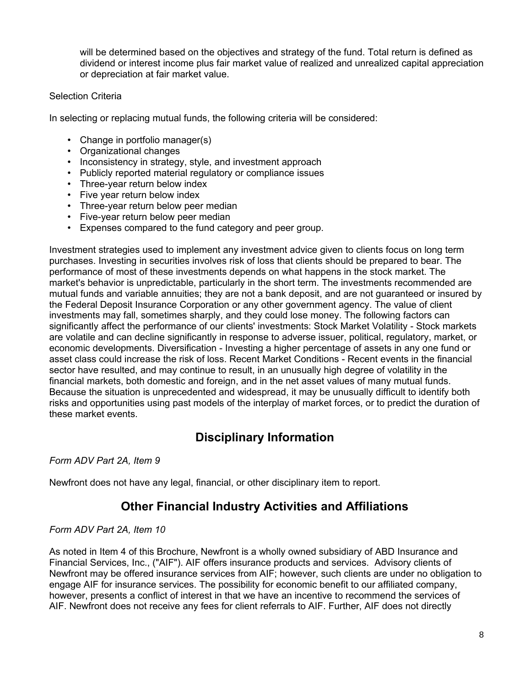will be determined based on the objectives and strategy of the fund. Total return is defined as dividend or interest income plus fair market value of realized and unrealized capital appreciation or depreciation at fair market value.

#### Selection Criteria

In selecting or replacing mutual funds, the following criteria will be considered:

- Change in portfolio manager(s)
- Organizational changes
- Inconsistency in strategy, style, and investment approach
- Publicly reported material regulatory or compliance issues
- Three-year return below index
- Five year return below index
- Three-year return below peer median
- Five-year return below peer median
- Expenses compared to the fund category and peer group.

Investment strategies used to implement any investment advice given to clients focus on long term purchases. Investing in securities involves risk of loss that clients should be prepared to bear. The performance of most of these investments depends on what happens in the stock market. The market's behavior is unpredictable, particularly in the short term. The investments recommended are mutual funds and variable annuities; they are not a bank deposit, and are not guaranteed or insured by the Federal Deposit Insurance Corporation or any other government agency. The value of client investments may fall, sometimes sharply, and they could lose money. The following factors can significantly affect the performance of our clients' investments: Stock Market Volatility - Stock markets are volatile and can decline significantly in response to adverse issuer, political, regulatory, market, or economic developments. Diversification - Investing a higher percentage of assets in any one fund or asset class could increase the risk of loss. Recent Market Conditions - Recent events in the financial sector have resulted, and may continue to result, in an unusually high degree of volatility in the financial markets, both domestic and foreign, and in the net asset values of many mutual funds. Because the situation is unprecedented and widespread, it may be unusually difficult to identify both risks and opportunities using past models of the interplay of market forces, or to predict the duration of these market events.

### **Disciplinary Information**

*Form ADV Part 2A, Item 9*

Newfront does not have any legal, financial, or other disciplinary item to report.

### **Other Financial Industry Activities and Affiliations**

#### *Form ADV Part 2A, Item 10*

As noted in Item 4 of this Brochure, Newfront is a wholly owned subsidiary of ABD Insurance and Financial Services, Inc., ("AIF"). AIF offers insurance products and services. Advisory clients of Newfront may be offered insurance services from AIF; however, such clients are under no obligation to engage AIF for insurance services. The possibility for economic benefit to our affiliated company, however, presents a conflict of interest in that we have an incentive to recommend the services of AIF. Newfront does not receive any fees for client referrals to AIF. Further, AIF does not directly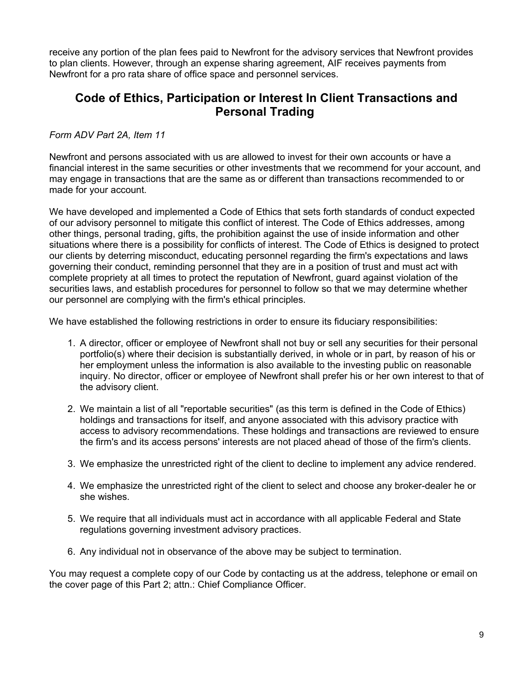receive any portion of the plan fees paid to Newfront for the advisory services that Newfront provides to plan clients. However, through an expense sharing agreement, AIF receives payments from Newfront for a pro rata share of office space and personnel services.

### **Code of Ethics, Participation or Interest In Client Transactions and Personal Trading**

#### *Form ADV Part 2A, Item 11*

Newfront and persons associated with us are allowed to invest for their own accounts or have a financial interest in the same securities or other investments that we recommend for your account, and may engage in transactions that are the same as or different than transactions recommended to or made for your account.

We have developed and implemented a Code of Ethics that sets forth standards of conduct expected of our advisory personnel to mitigate this conflict of interest. The Code of Ethics addresses, among other things, personal trading, gifts, the prohibition against the use of inside information and other situations where there is a possibility for conflicts of interest. The Code of Ethics is designed to protect our clients by deterring misconduct, educating personnel regarding the firm's expectations and laws governing their conduct, reminding personnel that they are in a position of trust and must act with complete propriety at all times to protect the reputation of Newfront, guard against violation of the securities laws, and establish procedures for personnel to follow so that we may determine whether our personnel are complying with the firm's ethical principles.

We have established the following restrictions in order to ensure its fiduciary responsibilities:

- 1. A director, officer or employee of Newfront shall not buy or sell any securities for their personal portfolio(s) where their decision is substantially derived, in whole or in part, by reason of his or her employment unless the information is also available to the investing public on reasonable inquiry. No director, officer or employee of Newfront shall prefer his or her own interest to that of the advisory client.
- 2. We maintain a list of all "reportable securities" (as this term is defined in the Code of Ethics) holdings and transactions for itself, and anyone associated with this advisory practice with access to advisory recommendations. These holdings and transactions are reviewed to ensure the firm's and its access persons' interests are not placed ahead of those of the firm's clients.
- 3. We emphasize the unrestricted right of the client to decline to implement any advice rendered.
- 4. We emphasize the unrestricted right of the client to select and choose any broker-dealer he or she wishes.
- 5. We require that all individuals must act in accordance with all applicable Federal and State regulations governing investment advisory practices.
- 6. Any individual not in observance of the above may be subject to termination.

You may request a complete copy of our Code by contacting us at the address, telephone or email on the cover page of this Part 2; attn.: Chief Compliance Officer.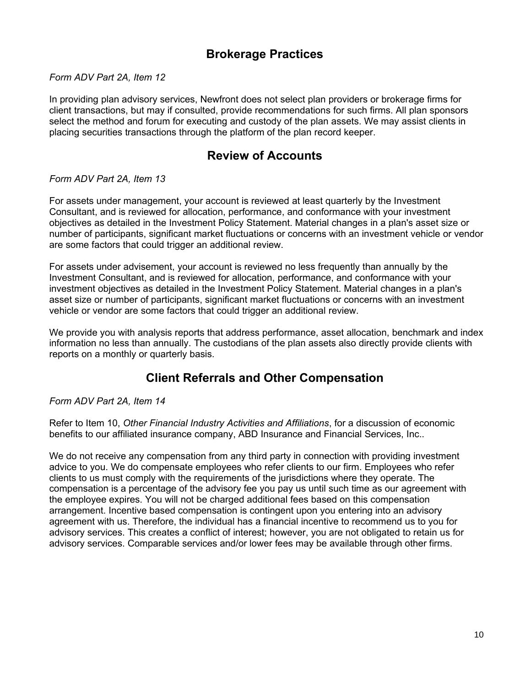### **Brokerage Practices**

#### *Form ADV Part 2A, Item 12*

In providing plan advisory services, Newfront does not select plan providers or brokerage firms for client transactions, but may if consulted, provide recommendations for such firms. All plan sponsors select the method and forum for executing and custody of the plan assets. We may assist clients in placing securities transactions through the platform of the plan record keeper.

### **Review of Accounts**

#### *Form ADV Part 2A, Item 13*

For assets under management, your account is reviewed at least quarterly by the Investment Consultant, and is reviewed for allocation, performance, and conformance with your investment objectives as detailed in the Investment Policy Statement. Material changes in a plan's asset size or number of participants, significant market fluctuations or concerns with an investment vehicle or vendor are some factors that could trigger an additional review.

For assets under advisement, your account is reviewed no less frequently than annually by the Investment Consultant, and is reviewed for allocation, performance, and conformance with your investment objectives as detailed in the Investment Policy Statement. Material changes in a plan's asset size or number of participants, significant market fluctuations or concerns with an investment vehicle or vendor are some factors that could trigger an additional review.

We provide you with analysis reports that address performance, asset allocation, benchmark and index information no less than annually. The custodians of the plan assets also directly provide clients with reports on a monthly or quarterly basis.

### **Client Referrals and Other Compensation**

#### *Form ADV Part 2A, Item 14*

Refer to Item 10, *Other Financial Industry Activities and Affiliations*, for a discussion of economic benefits to our affiliated insurance company, ABD Insurance and Financial Services, Inc..

We do not receive any compensation from any third party in connection with providing investment advice to you. We do compensate employees who refer clients to our firm. Employees who refer clients to us must comply with the requirements of the jurisdictions where they operate. The compensation is a percentage of the advisory fee you pay us until such time as our agreement with the employee expires. You will not be charged additional fees based on this compensation arrangement. Incentive based compensation is contingent upon you entering into an advisory agreement with us. Therefore, the individual has a financial incentive to recommend us to you for advisory services. This creates a conflict of interest; however, you are not obligated to retain us for advisory services. Comparable services and/or lower fees may be available through other firms.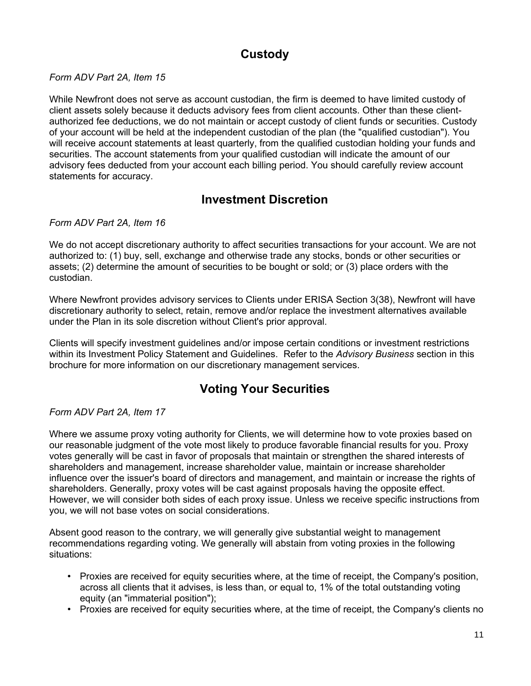# **Custody**

*Form ADV Part 2A, Item 15*

While Newfront does not serve as account custodian, the firm is deemed to have limited custody of client assets solely because it deducts advisory fees from client accounts. Other than these clientauthorized fee deductions, we do not maintain or accept custody of client funds or securities. Custody of your account will be held at the independent custodian of the plan (the "qualified custodian"). You will receive account statements at least quarterly, from the qualified custodian holding your funds and securities. The account statements from your qualified custodian will indicate the amount of our advisory fees deducted from your account each billing period. You should carefully review account statements for accuracy.

### **Investment Discretion**

#### *Form ADV Part 2A, Item 16*

We do not accept discretionary authority to affect securities transactions for your account. We are not authorized to: (1) buy, sell, exchange and otherwise trade any stocks, bonds or other securities or assets; (2) determine the amount of securities to be bought or sold; or (3) place orders with the custodian.

Where Newfront provides advisory services to Clients under ERISA Section 3(38), Newfront will have discretionary authority to select, retain, remove and/or replace the investment alternatives available under the Plan in its sole discretion without Client's prior approval.

Clients will specify investment guidelines and/or impose certain conditions or investment restrictions within its Investment Policy Statement and Guidelines. Refer to the *Advisory Business* section in this brochure for more information on our discretionary management services.

## **Voting Your Securities**

*Form ADV Part 2A, Item 17*

Where we assume proxy voting authority for Clients, we will determine how to vote proxies based on our reasonable judgment of the vote most likely to produce favorable financial results for you. Proxy votes generally will be cast in favor of proposals that maintain or strengthen the shared interests of shareholders and management, increase shareholder value, maintain or increase shareholder influence over the issuer's board of directors and management, and maintain or increase the rights of shareholders. Generally, proxy votes will be cast against proposals having the opposite effect. However, we will consider both sides of each proxy issue. Unless we receive specific instructions from you, we will not base votes on social considerations.

Absent good reason to the contrary, we will generally give substantial weight to management recommendations regarding voting. We generally will abstain from voting proxies in the following situations:

- Proxies are received for equity securities where, at the time of receipt, the Company's position, across all clients that it advises, is less than, or equal to, 1% of the total outstanding voting equity (an "immaterial position");
- Proxies are received for equity securities where, at the time of receipt, the Company's clients no